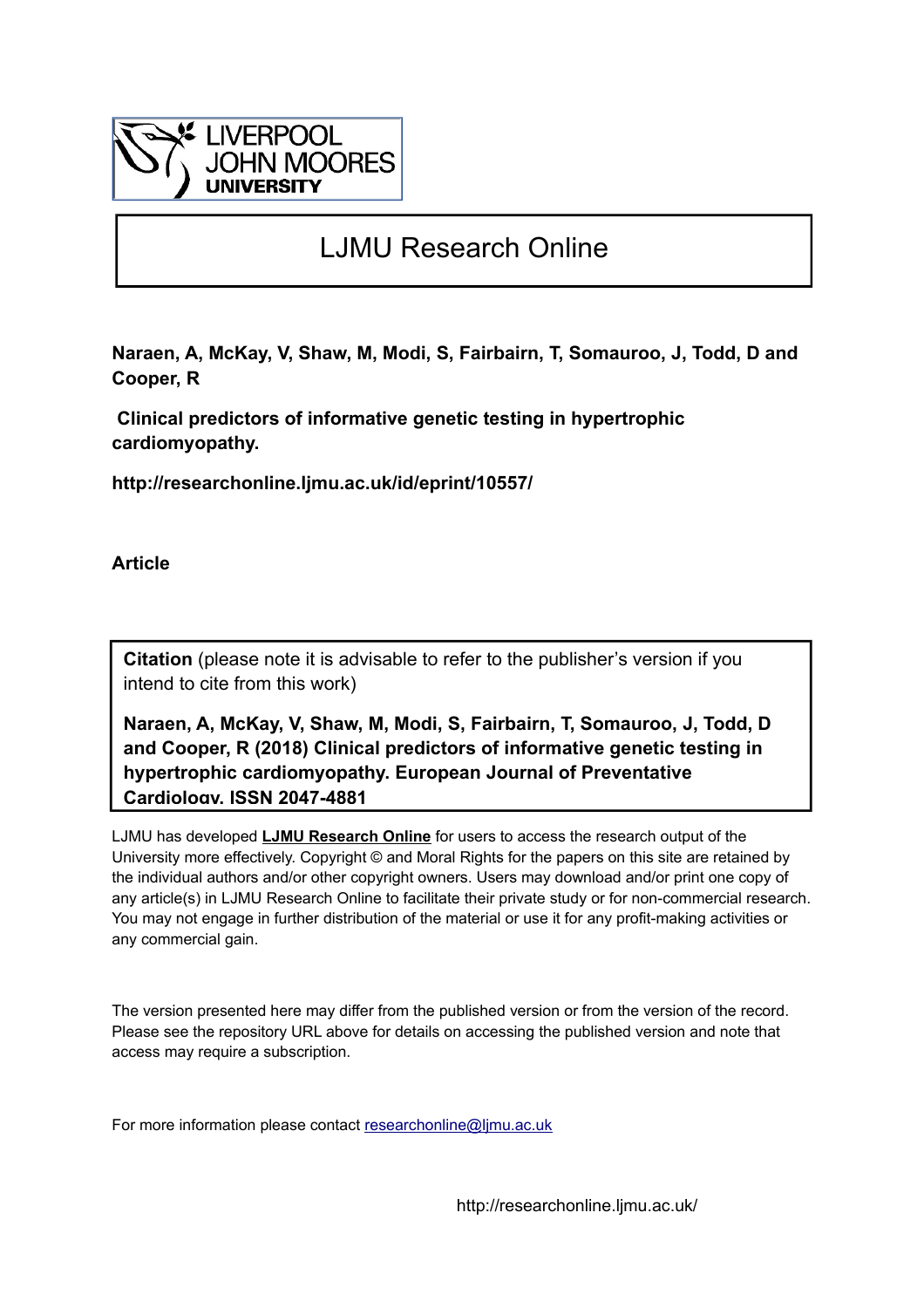

# LJMU Research Online

**Naraen, A, McKay, V, Shaw, M, Modi, S, Fairbairn, T, Somauroo, J, Todd, D and Cooper, R**

 **Clinical predictors of informative genetic testing in hypertrophic cardiomyopathy.**

**http://researchonline.ljmu.ac.uk/id/eprint/10557/**

**Article**

**Citation** (please note it is advisable to refer to the publisher's version if you intend to cite from this work)

**Naraen, A, McKay, V, Shaw, M, Modi, S, Fairbairn, T, Somauroo, J, Todd, D and Cooper, R (2018) Clinical predictors of informative genetic testing in hypertrophic cardiomyopathy. European Journal of Preventative Cardiology. ISSN 2047-4881** 

LJMU has developed **[LJMU Research Online](http://researchonline.ljmu.ac.uk/)** for users to access the research output of the University more effectively. Copyright © and Moral Rights for the papers on this site are retained by the individual authors and/or other copyright owners. Users may download and/or print one copy of any article(s) in LJMU Research Online to facilitate their private study or for non-commercial research. You may not engage in further distribution of the material or use it for any profit-making activities or any commercial gain.

The version presented here may differ from the published version or from the version of the record. Please see the repository URL above for details on accessing the published version and note that access may require a subscription.

For more information please contact researchonline@limu.ac.uk

http://researchonline.ljmu.ac.uk/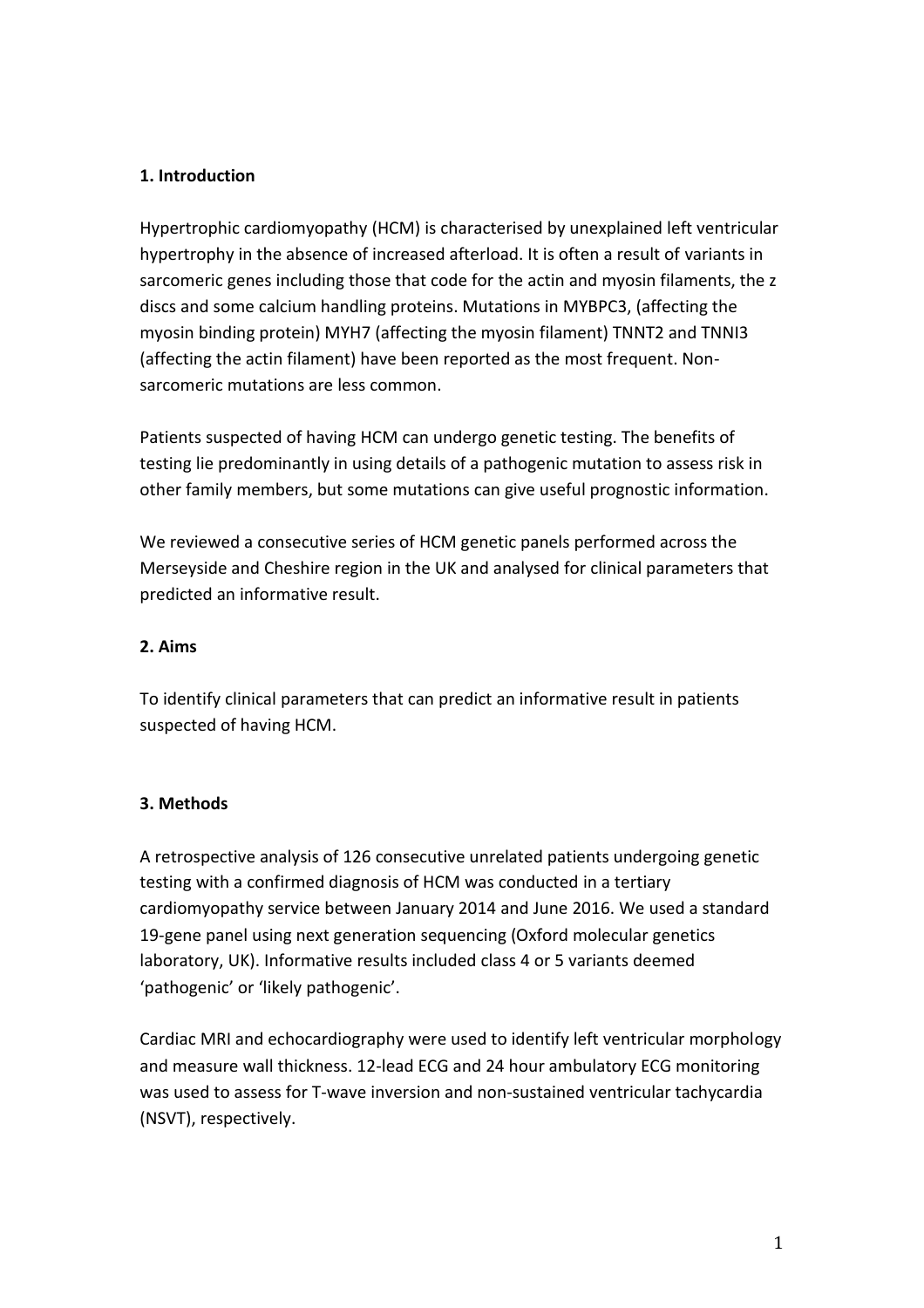### **1. Introduction**

Hypertrophic cardiomyopathy (HCM) is characterised by unexplained left ventricular hypertrophy in the absence of increased afterload. It is often a result of variants in sarcomeric genes including those that code for the actin and myosin filaments, the z discs and some calcium handling proteins. Mutations in MYBPC3, (affecting the myosin binding protein) MYH7 (affecting the myosin filament) TNNT2 and TNNI3 (affecting the actin filament) have been reported as the most frequent. Nonsarcomeric mutations are less common.

Patients suspected of having HCM can undergo genetic testing. The benefits of testing lie predominantly in using details of a pathogenic mutation to assess risk in other family members, but some mutations can give useful prognostic information.

We reviewed a consecutive series of HCM genetic panels performed across the Merseyside and Cheshire region in the UK and analysed for clinical parameters that predicted an informative result.

#### **2. Aims**

To identify clinical parameters that can predict an informative result in patients suspected of having HCM.

#### **3. Methods**

A retrospective analysis of 126 consecutive unrelated patients undergoing genetic testing with a confirmed diagnosis of HCM was conducted in a tertiary cardiomyopathy service between January 2014 and June 2016. We used a standard 19-gene panel using next generation sequencing (Oxford molecular genetics laboratory, UK). Informative results included class 4 or 5 variants deemed 'pathogenic' or 'likely pathogenic'.

Cardiac MRI and echocardiography were used to identify left ventricular morphology and measure wall thickness. 12-lead ECG and 24 hour ambulatory ECG monitoring was used to assess for T-wave inversion and non-sustained ventricular tachycardia (NSVT), respectively.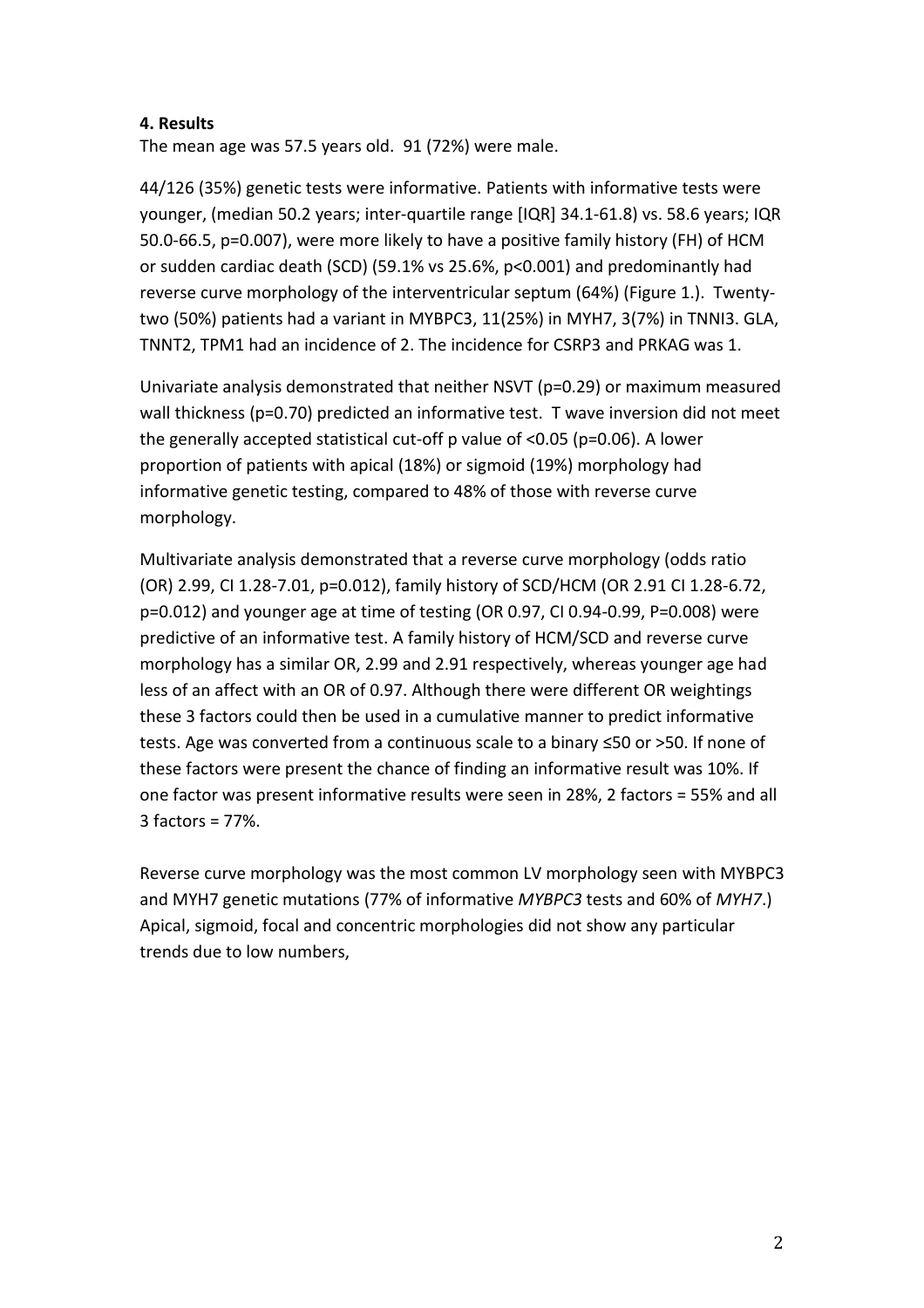#### **4. Results**

The mean age was 57.5 years old. 91 (72%) were male.

44/126 (35%) genetic tests were informative. Patients with informative tests were younger, (median 50.2 years; inter-quartile range [IQR] 34.1-61.8) vs. 58.6 years; IQR 50.0-66.5, p=0.007), were more likely to have a positive family history (FH) of HCM or sudden cardiac death (SCD) (59.1% vs 25.6%, p<0.001) and predominantly had reverse curve morphology of the interventricular septum (64%) (Figure 1.). Twentytwo (50%) patients had a variant in MYBPC3, 11(25%) in MYH7, 3(7%) in TNNI3. GLA, TNNT2, TPM1 had an incidence of 2. The incidence for CSRP3 and PRKAG was 1.

Univariate analysis demonstrated that neither NSVT (p=0.29) or maximum measured wall thickness (p=0.70) predicted an informative test. T wave inversion did not meet the generally accepted statistical cut-off p value of <0.05 (p=0.06). A lower proportion of patients with apical (18%) or sigmoid (19%) morphology had informative genetic testing, compared to 48% of those with reverse curve morphology.

Multivariate analysis demonstrated that a reverse curve morphology (odds ratio (OR) 2.99, CI 1.28-7.01, p=0.012), family history of SCD/HCM (OR 2.91 CI 1.28-6.72, p=0.012) and younger age at time of testing (OR 0.97, CI 0.94-0.99, P=0.008) were predictive of an informative test. A family history of HCM/SCD and reverse curve morphology has a similar OR, 2.99 and 2.91 respectively, whereas younger age had less of an affect with an OR of 0.97. Although there were different OR weightings these 3 factors could then be used in a cumulative manner to predict informative tests. Age was converted from a continuous scale to a binary ≤50 or >50. If none of these factors were present the chance of finding an informative result was 10%. If one factor was present informative results were seen in 28%, 2 factors = 55% and all 3 factors = 77%.

Reverse curve morphology was the most common LV morphology seen with MYBPC3 and MYH7 genetic mutations (77% of informative *MYBPC3* tests and 60% of *MYH7*.) Apical, sigmoid, focal and concentric morphologies did not show any particular trends due to low numbers,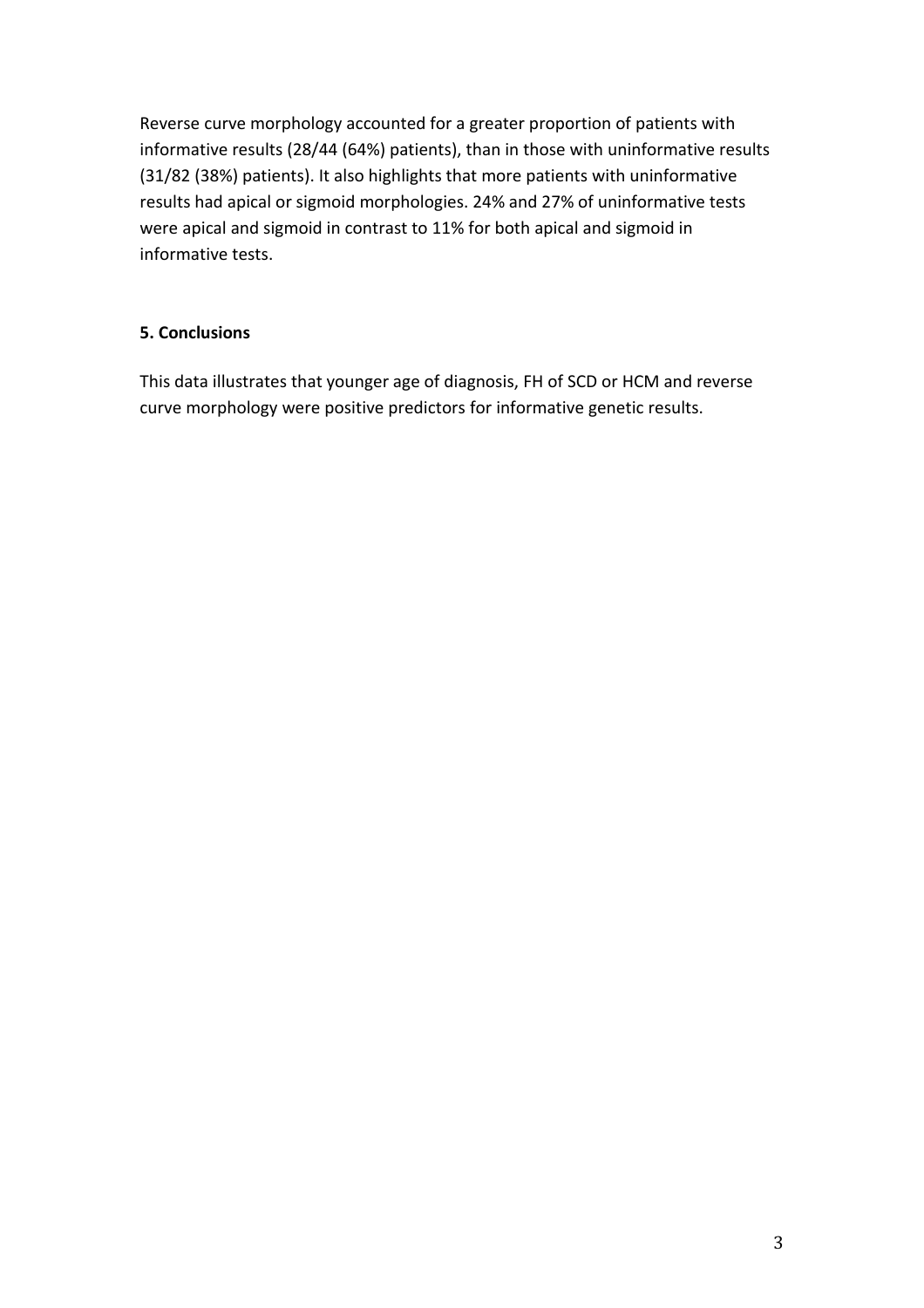Reverse curve morphology accounted for a greater proportion of patients with informative results (28/44 (64%) patients), than in those with uninformative results (31/82 (38%) patients). It also highlights that more patients with uninformative results had apical or sigmoid morphologies. 24% and 27% of uninformative tests were apical and sigmoid in contrast to 11% for both apical and sigmoid in informative tests.

## **5. Conclusions**

This data illustrates that younger age of diagnosis, FH of SCD or HCM and reverse curve morphology were positive predictors for informative genetic results.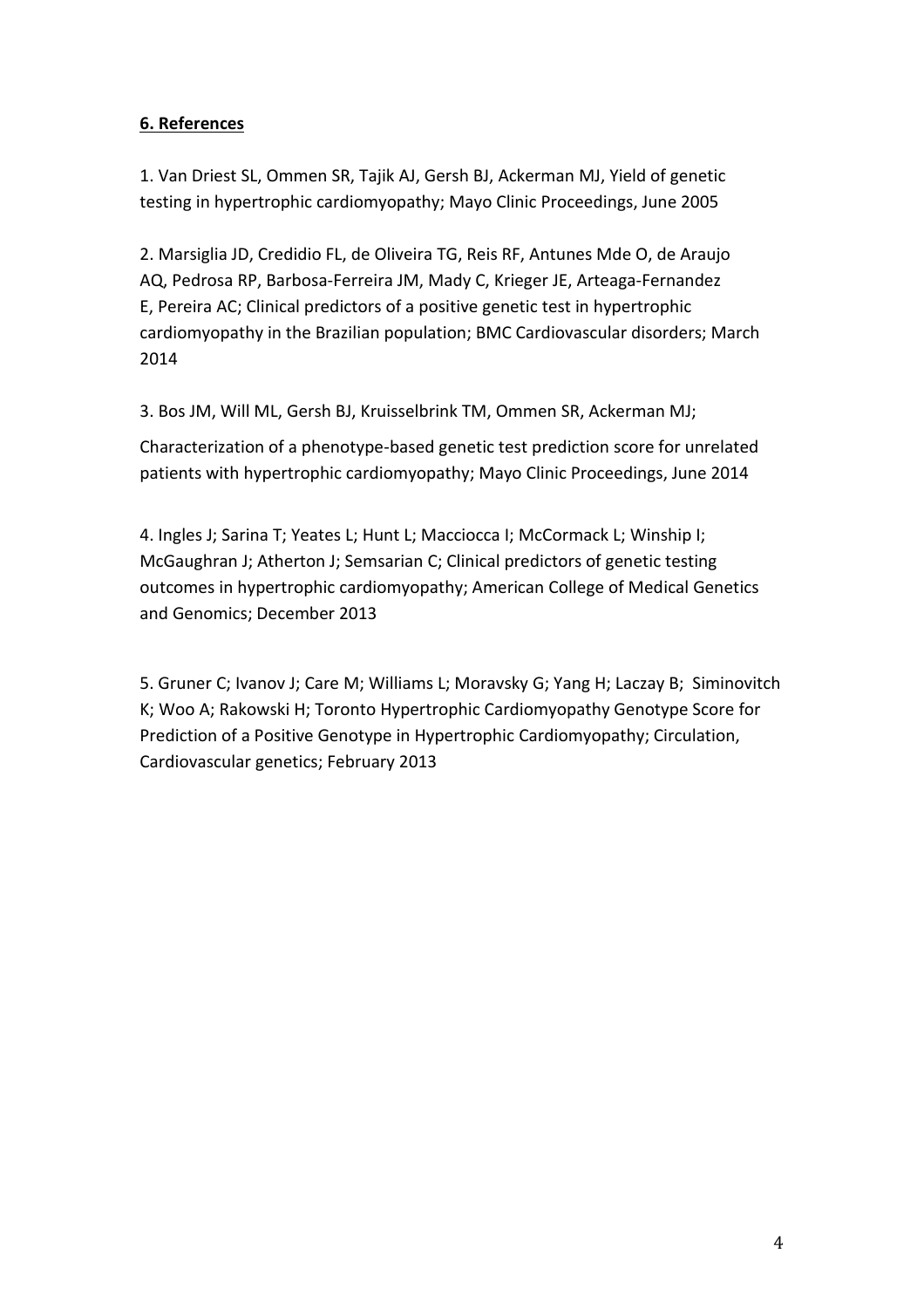# **6. References**

1. [Van Driest SL,](https://www.ncbi.nlm.nih.gov/pubmed/?term=Van%20Driest%20SL%5BAuthor%5D&cauthor=true&cauthor_uid=15945527) [Ommen](https://www.ncbi.nlm.nih.gov/pubmed/?term=Ommen%20SR%5BAuthor%5D&cauthor=true&cauthor_uid=15945527) SR, [Tajik AJ,](https://www.ncbi.nlm.nih.gov/pubmed/?term=Tajik%20AJ%5BAuthor%5D&cauthor=true&cauthor_uid=15945527) [Gersh BJ,](https://www.ncbi.nlm.nih.gov/pubmed/?term=Gersh%20BJ%5BAuthor%5D&cauthor=true&cauthor_uid=15945527) [Ackerman MJ,](https://www.ncbi.nlm.nih.gov/pubmed/?term=Ackerman%20MJ%5BAuthor%5D&cauthor=true&cauthor_uid=15945527) Yield of genetic testing in hypertrophic cardiomyopathy; Mayo Clinic Proceedings, June 2005

2. [Marsiglia JD,](https://www.ncbi.nlm.nih.gov/pubmed/?term=Marsiglia%20JD%5BAuthor%5D&cauthor=true&cauthor_uid=24625281) [Credidio FL,](https://www.ncbi.nlm.nih.gov/pubmed/?term=Credidio%20FL%5BAuthor%5D&cauthor=true&cauthor_uid=24625281) [de Oliveira TG,](https://www.ncbi.nlm.nih.gov/pubmed/?term=de%20Oliveira%20TG%5BAuthor%5D&cauthor=true&cauthor_uid=24625281) [Reis RF,](https://www.ncbi.nlm.nih.gov/pubmed/?term=Reis%20RF%5BAuthor%5D&cauthor=true&cauthor_uid=24625281) [Antunes Mde O,](https://www.ncbi.nlm.nih.gov/pubmed/?term=Antunes%20Mde%20O%5BAuthor%5D&cauthor=true&cauthor_uid=24625281) [de Araujo](https://www.ncbi.nlm.nih.gov/pubmed/?term=de%20Araujo%20AQ%5BAuthor%5D&cauthor=true&cauthor_uid=24625281)  [AQ,](https://www.ncbi.nlm.nih.gov/pubmed/?term=de%20Araujo%20AQ%5BAuthor%5D&cauthor=true&cauthor_uid=24625281) [Pedrosa RP,](https://www.ncbi.nlm.nih.gov/pubmed/?term=Pedrosa%20RP%5BAuthor%5D&cauthor=true&cauthor_uid=24625281) Barbosa-Ferreira JM, [Mady C,](https://www.ncbi.nlm.nih.gov/pubmed/?term=Mady%20C%5BAuthor%5D&cauthor=true&cauthor_uid=24625281) [Krieger JE,](https://www.ncbi.nlm.nih.gov/pubmed/?term=Krieger%20JE%5BAuthor%5D&cauthor=true&cauthor_uid=24625281) [Arteaga-Fernandez](https://www.ncbi.nlm.nih.gov/pubmed/?term=Arteaga-Fernandez%20E%5BAuthor%5D&cauthor=true&cauthor_uid=24625281)  [E,](https://www.ncbi.nlm.nih.gov/pubmed/?term=Arteaga-Fernandez%20E%5BAuthor%5D&cauthor=true&cauthor_uid=24625281) [Pereira AC;](https://www.ncbi.nlm.nih.gov/pubmed/?term=Pereira%20AC%5BAuthor%5D&cauthor=true&cauthor_uid=24625281) Clinical predictors of a positive genetic test in hypertrophic cardiomyopathy in the Brazilian population; BMC Cardiovascular disorders; March 2014

3. [Bos JM,](https://www.ncbi.nlm.nih.gov/pubmed/?term=Bos%20JM%5BAuthor%5D&cauthor=true&cauthor_uid=24793961) [Will ML,](https://www.ncbi.nlm.nih.gov/pubmed/?term=Will%20ML%5BAuthor%5D&cauthor=true&cauthor_uid=24793961) [Gersh BJ,](https://www.ncbi.nlm.nih.gov/pubmed/?term=Gersh%20BJ%5BAuthor%5D&cauthor=true&cauthor_uid=24793961) [Kruisselbrink TM,](https://www.ncbi.nlm.nih.gov/pubmed/?term=Kruisselbrink%20TM%5BAuthor%5D&cauthor=true&cauthor_uid=24793961) [Ommen SR,](https://www.ncbi.nlm.nih.gov/pubmed/?term=Ommen%20SR%5BAuthor%5D&cauthor=true&cauthor_uid=24793961) [Ackerman MJ;](https://www.ncbi.nlm.nih.gov/pubmed/?term=Ackerman%20MJ%5BAuthor%5D&cauthor=true&cauthor_uid=24793961)

Characterization of a phenotype-based genetic test prediction score for unrelated patients with hypertrophic cardiomyopathy; Mayo Clinic Proceedings, June 2014

4. Ingles J; Sarina T; Yeates L; Hunt L; Macciocca I; McCormack L; Winship I; McGaughran J; Atherton J; Semsarian C; Clinical predictors of genetic testing outcomes in hypertrophic cardiomyopathy; American College of Medical Genetics and Genomics; December 2013

5. Gruner C; Ivanov J; Care M; Williams L; Moravsky G; Yang H; Laczay B; Siminovitch K; Woo A; Rakowski H; Toronto Hypertrophic Cardiomyopathy Genotype Score for Prediction of a Positive Genotype in Hypertrophic Cardiomyopathy; Circulation, Cardiovascular genetics; February 2013